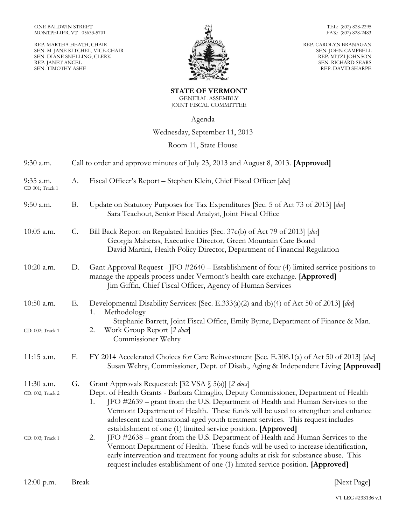REP. MARTHA HEATH, CHAIR SEN. M. JANE KITCHEL, VICE-CHAIR SEN. DIANE SNELLING, CLERK REP. JANET ANCEL SEN. TIMOTHY ASHE



TEL: (802) 828-2295 FAX: (802) 828-2483

REP. CAROLYN BRANAGAN SEN. JOHN CAMPBELL REP. MITZI JOHNSON SEN. RICHARD SEARS REP. DAVID SHARPE

**STATE OF VERMONT** GENERAL ASSEMBLY JOINT FISCAL COMMITTEE

Agenda

## Wednesday, September 11, 2013

## Room 11, State House

| 9:30 a.m.                      |                 | Call to order and approve minutes of July 23, 2013 and August 8, 2013. [Approved]                                                                                                                                                                                                                                                                                                                                                                                            |
|--------------------------------|-----------------|------------------------------------------------------------------------------------------------------------------------------------------------------------------------------------------------------------------------------------------------------------------------------------------------------------------------------------------------------------------------------------------------------------------------------------------------------------------------------|
| 9:35 a.m.<br>CD 001; Track 1   | A.              | Fiscal Officer's Report – Stephen Klein, Chief Fiscal Officer [doc]                                                                                                                                                                                                                                                                                                                                                                                                          |
| 9:50 a.m.                      | <b>B.</b>       | Update on Statutory Purposes for Tax Expenditures [Sec. 5 of Act 73 of 2013] [doc]<br>Sara Teachout, Senior Fiscal Analyst, Joint Fiscal Office                                                                                                                                                                                                                                                                                                                              |
| 10:05 a.m.                     | $\mathcal{C}$ . | Bill Back Report on Regulated Entities [Sec. 37c(b) of Act 79 of 2013] [doc]<br>Georgia Maheras, Executive Director, Green Mountain Care Board<br>David Martini, Health Policy Director, Department of Financial Regulation                                                                                                                                                                                                                                                  |
| 10:20 a.m.                     | D.              | Gant Approval Request - JFO #2640 – Establishment of four (4) limited service positions to<br>manage the appeals process under Vermont's health care exchange. [Approved]<br>Jim Giffin, Chief Fiscal Officer, Agency of Human Services                                                                                                                                                                                                                                      |
| 10:50 a.m.                     | Е.              | Developmental Disability Services: [Sec. E.333(a)(2) and (b)(4) of Act 50 of 2013] [doc]<br>Methodology<br>1.<br>Stephanie Barrett, Joint Fiscal Office, Emily Byrne, Department of Finance & Man.                                                                                                                                                                                                                                                                           |
| CD: 002; Track 1               |                 | Work Group Report [2 docs]<br>2.<br>Commissioner Wehry                                                                                                                                                                                                                                                                                                                                                                                                                       |
| 11:15 a.m.                     | F.              | FY 2014 Accelerated Choices for Care Reinvestment [Sec. E.308.1(a) of Act 50 of 2013] [doc]<br>Susan Wehry, Commissioner, Dept. of Disab., Aging & Independent Living [Approved]                                                                                                                                                                                                                                                                                             |
| 11:30 a.m.<br>CD: 002; Track 2 | G.              | Grant Approvals Requested: [32 VSA § 5(a)] [2 docs]<br>Dept. of Health Grants - Barbara Cimaglio, Deputy Commissioner, Department of Health<br>JFO #2639 – grant from the U.S. Department of Health and Human Services to the<br>1.<br>Vermont Department of Health. These funds will be used to strengthen and enhance<br>adolescent and transitional-aged youth treatment services. This request includes<br>establishment of one (1) limited service position. [Approved] |
| CD: 003; Track 1               |                 | JFO #2638 – grant from the U.S. Department of Health and Human Services to the<br>2.<br>Vermont Department of Health. These funds will be used to increase identification,<br>early intervention and treatment for young adults at risk for substance abuse. This<br>request includes establishment of one (1) limited service position. [Approved]                                                                                                                          |
| $12:00$ p.m.                   | <b>Break</b>    | [Next Page]                                                                                                                                                                                                                                                                                                                                                                                                                                                                  |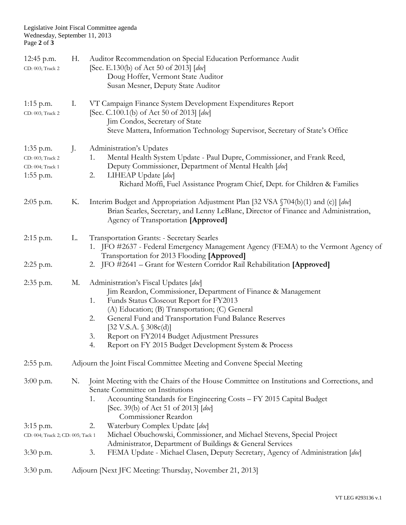## Legislative Joint Fiscal Committee agenda Wednesday, September 11, 2013 Page **2** of **3**

| 12:45 p.m.<br>CD: 003; Track 2                                   | Н. | Auditor Recommendation on Special Education Performance Audit<br>[Sec. E.130(b) of Act 50 of 2013] [doc]<br>Doug Hoffer, Vermont State Auditor<br>Susan Mesner, Deputy State Auditor                                                                                                                                                                                                                                    |  |
|------------------------------------------------------------------|----|-------------------------------------------------------------------------------------------------------------------------------------------------------------------------------------------------------------------------------------------------------------------------------------------------------------------------------------------------------------------------------------------------------------------------|--|
| $1:15$ p.m.<br>CD: 003; Track 2                                  | Ι. | VT Campaign Finance System Development Expenditures Report<br>[Sec. C.100.1(b) of Act 50 of 2013] [doc]<br>Jim Condos, Secretary of State<br>Steve Mattera, Information Technology Supervisor, Secretary of State's Office                                                                                                                                                                                              |  |
| 1:35 p.m.<br>CD: 003; Track 2<br>CD: 004; Track 1<br>$1:55$ p.m. | J. | Administration's Updates<br>Mental Health System Update - Paul Dupre, Commissioner, and Frank Reed,<br>1.<br>Deputy Commissioner, Department of Mental Health [doc]<br>LIHEAP Update [doc]<br>2.<br>Richard Moffi, Fuel Assistance Program Chief, Dept. for Children & Families                                                                                                                                         |  |
| $2:05$ p.m.                                                      | К. | Interim Budget and Appropriation Adjustment Plan [32 VSA §704(b)(1) and (c)] [doc]<br>Brian Searles, Secretary, and Lenny LeBlanc, Director of Finance and Administration,<br>Agency of Transportation [Approved]                                                                                                                                                                                                       |  |
| $2:15$ p.m.                                                      | L. | <b>Transportation Grants: - Secretary Searles</b><br>1. JFO #2637 - Federal Emergency Management Agency (FEMA) to the Vermont Agency of<br>Transportation for 2013 Flooding [Approved]                                                                                                                                                                                                                                  |  |
| $2:25$ p.m.                                                      |    | 2. JFO #2641 - Grant for Western Corridor Rail Rehabilitation [Approved]                                                                                                                                                                                                                                                                                                                                                |  |
| $2:35$ p.m.                                                      | М. | Administration's Fiscal Updates [doc]<br>Jim Reardon, Commissioner, Department of Finance & Management<br>Funds Status Closeout Report for FY2013<br>1.<br>(A) Education; (B) Transportation; (C) General<br>General Fund and Transportation Fund Balance Reserves<br>2.<br>[32 V.S.A. $$308c(d)]$<br>Report on FY2014 Budget Adjustment Pressures<br>3.<br>Report on FY 2015 Budget Development System & Process<br>4. |  |
| $2:55$ p.m.                                                      |    | Adjourn the Joint Fiscal Committee Meeting and Convene Special Meeting                                                                                                                                                                                                                                                                                                                                                  |  |
| $3:00$ p.m.                                                      | N. | Joint Meeting with the Chairs of the House Committee on Institutions and Corrections, and<br>Senate Committee on Institutions<br>Accounting Standards for Engineering Costs - FY 2015 Capital Budget<br>1.<br>[Sec. 39(b) of Act 51 of 2013] [doc]<br>Commissioner Reardon                                                                                                                                              |  |
| $3:15$ p.m.                                                      |    | Waterbury Complex Update [doc]<br>2.                                                                                                                                                                                                                                                                                                                                                                                    |  |
| CD: 004; Track 2; CD: 005; Tack 1                                |    | Michael Obuchowski, Commissioner, and Michael Stevens, Special Project<br>Administrator, Department of Buildings & General Services                                                                                                                                                                                                                                                                                     |  |
| $3:30$ p.m.                                                      |    | 3.<br>FEMA Update - Michael Clasen, Deputy Secretary, Agency of Administration [doc]                                                                                                                                                                                                                                                                                                                                    |  |
| $3:30$ p.m.                                                      |    | Adjourn [Next JFC Meeting: Thursday, November 21, 2013]                                                                                                                                                                                                                                                                                                                                                                 |  |